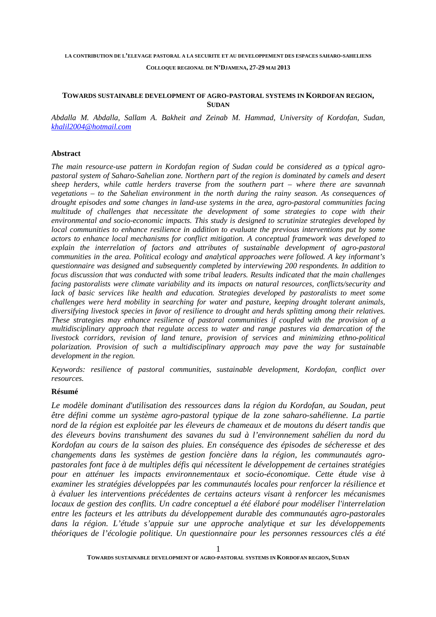**COLLOQUE REGIONAL DE N'DJAMENA, 27-29 MAI 2013** 

## **TOWARDS SUSTAINABLE DEVELOPMENT OF AGRO-PASTORAL SYSTEMS IN KORDOFAN REGION, SUDAN**

*Abdalla M. Abdalla, Sallam A. Bakheit and Zeinab M. Hammad, University of Kordofan, Sudan, khalil2004@hotmail.com*

# **Abstract**

*The main resource-use pattern in Kordofan region of Sudan could be considered as a typical agropastoral system of Saharo-Sahelian zone. Northern part of the region is dominated by camels and desert sheep herders, while cattle herders traverse from the southern part – where there are savannah vegetations – to the Sahelian environment in the north during the rainy season. As consequences of drought episodes and some changes in land-use systems in the area, agro-pastoral communities facing multitude of challenges that necessitate the development of some strategies to cope with their environmental and socio-economic impacts. This study is designed to scrutinize strategies developed by local communities to enhance resilience in addition to evaluate the previous interventions put by some actors to enhance local mechanisms for conflict mitigation. A conceptual framework was developed to explain the interrelation of factors and attributes of sustainable development of agro-pastoral communities in the area. Political ecology and analytical approaches were followed. A key informant's questionnaire was designed and subsequently completed by interviewing 200 respondents. In addition to focus discussion that was conducted with some tribal leaders. Results indicated that the main challenges facing pastoralists were climate variability and its impacts on natural resources, conflicts/security and*  lack of basic services like health and education. Strategies developed by pastoralists to meet some *challenges were herd mobility in searching for water and pasture, keeping drought tolerant animals, diversifying livestock species in favor of resilience to drought and herds splitting among their relatives. These strategies may enhance resilience of pastoral communities if coupled with the provision of a multidisciplinary approach that regulate access to water and range pastures via demarcation of the livestock corridors, revision of land tenure, provision of services and minimizing ethno-political polarization. Provision of such a multidisciplinary approach may pave the way for sustainable development in the region.* 

*Keywords: resilience of pastoral communities, sustainable development, Kordofan, conflict over resources.* 

# **Résumé**

*Le modèle dominant d'utilisation des ressources dans la région du Kordofan, au Soudan, peut être défini comme un système agro-pastoral typique de la zone saharo-sahélienne. La partie nord de la région est exploitée par les éleveurs de chameaux et de moutons du désert tandis que des éleveurs bovins transhument des savanes du sud à l'environnement sahélien du nord du Kordofan au cours de la saison des pluies. En conséquence des épisodes de sécheresse et des changements dans les systèmes de gestion foncière dans la région, les communautés agropastorales font face à de multiples défis qui nécessitent le développement de certaines stratégies pour en atténuer les impacts environnementaux et socio-économique. Cette étude vise à examiner les stratégies développées par les communautés locales pour renforcer la résilience et à évaluer les interventions précédentes de certains acteurs visant à renforcer les mécanismes locaux de gestion des conflits. Un cadre conceptuel a été élaboré pour modéliser l'interrelation entre les facteurs et les attributs du développement durable des communautés agro-pastorales dans la région. L'étude s'appuie sur une approche analytique et sur les développements théoriques de l'écologie politique. Un questionnaire pour les personnes ressources clés a été*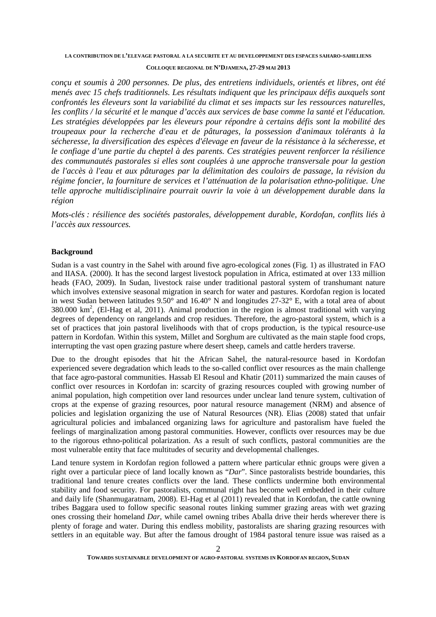### **COLLOQUE REGIONAL DE N'DJAMENA, 27-29 MAI 2013**

*conçu et soumis à 200 personnes. De plus, des entretiens individuels, orientés et libres, ont été menés avec 15 chefs traditionnels. Les résultats indiquent que les principaux défis auxquels sont confrontés les éleveurs sont la variabilité du climat et ses impacts sur les ressources naturelles, les conflits / la sécurité et le manque d'accès aux services de base comme la santé et l'éducation. Les stratégies développées par les éleveurs pour répondre à certains défis sont la mobilité des troupeaux pour la recherche d'eau et de pâturages, la possession d'animaux tolérants à la sécheresse, la diversification des espèces d'élevage en faveur de la résistance à la sécheresse, et le confiage d'une partie du cheptel à des parents. Ces stratégies peuvent renforcer la résilience des communautés pastorales si elles sont couplées à une approche transversale pour la gestion de l'accès à l'eau et aux pâturages par la délimitation des couloirs de passage, la révision du régime foncier, la fourniture de services et l'atténuation de la polarisation ethno-politique. Une telle approche multidisciplinaire pourrait ouvrir la voie à un développement durable dans la région* 

*Mots-clés : résilience des sociétés pastorales, développement durable, Kordofan, conflits liés à l'accès aux ressources.*

# **Background**

Sudan is a vast country in the Sahel with around five agro-ecological zones (Fig. 1) as illustrated in FAO and IIASA. (2000). It has the second largest livestock population in Africa, estimated at over 133 million heads (FAO, 2009). In Sudan, livestock raise under traditional pastoral system of transhumant nature which involves extensive seasonal migration in search for water and pastures. Kordofan region is located in west Sudan between latitudes 9.50° and 16.40° N and longitudes 27-32° E, with a total area of about  $380.000 \text{ km}^2$ , (El-Hag et al, 2011). Animal production in the region is almost traditional with varying degrees of dependency on rangelands and crop residues. Therefore, the agro-pastoral system, which is a set of practices that join pastoral livelihoods with that of crops production, is the typical resource-use pattern in Kordofan. Within this system, Millet and Sorghum are cultivated as the main staple food crops, interrupting the vast open grazing pasture where desert sheep, camels and cattle herders traverse.

Due to the drought episodes that hit the African Sahel, the natural-resource based in Kordofan experienced severe degradation which leads to the so-called conflict over resources as the main challenge that face agro-pastoral communities. Hassab El Resoul and Khatir (2011) summarized the main causes of conflict over resources in Kordofan in: scarcity of grazing resources coupled with growing number of animal population, high competition over land resources under unclear land tenure system, cultivation of crops at the expense of grazing resources, poor natural resource management (NRM) and absence of policies and legislation organizing the use of Natural Resources (NR). Elias (2008) stated that unfair agricultural policies and imbalanced organizing laws for agriculture and pastoralism have fueled the feelings of marginalization among pastoral communities. However, conflicts over resources may be due to the rigorous ethno-political polarization. As a result of such conflicts, pastoral communities are the most vulnerable entity that face multitudes of security and developmental challenges.

Land tenure system in Kordofan region followed a pattern where particular ethnic groups were given a right over a particular piece of land locally known as "*Dar*". Since pastoralists bestride boundaries, this traditional land tenure creates conflicts over the land. These conflicts undermine both environmental stability and food security. For pastoralists, communal right has become well embedded in their culture and daily life (Shanmugaratnam, 2008). El-Hag et al (2011) revealed that in Kordofan, the cattle owning tribes Baggara used to follow specific seasonal routes linking summer grazing areas with wet grazing ones crossing their homeland *Dar*, while camel owning tribes Aballa drive their herds wherever there is plenty of forage and water. During this endless mobility, pastoralists are sharing grazing resources with settlers in an equitable way. But after the famous drought of 1984 pastoral tenure issue was raised as a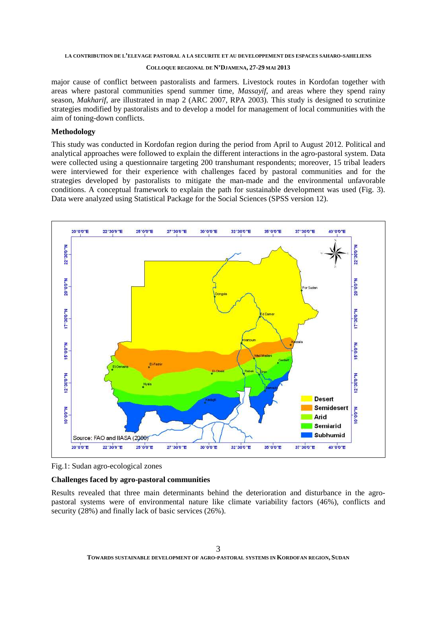### **COLLOQUE REGIONAL DE N'DJAMENA, 27-29 MAI 2013**

major cause of conflict between pastoralists and farmers. Livestock routes in Kordofan together with areas where pastoral communities spend summer time, *Massayif*, and areas where they spend rainy season, *Makharif*, are illustrated in map 2 (ARC 2007, RPA 2003). This study is designed to scrutinize strategies modified by pastoralists and to develop a model for management of local communities with the aim of toning-down conflicts.

# **Methodology**

This study was conducted in Kordofan region during the period from April to August 2012. Political and analytical approaches were followed to explain the different interactions in the agro-pastoral system. Data were collected using a questionnaire targeting 200 transhumant respondents; moreover, 15 tribal leaders were interviewed for their experience with challenges faced by pastoral communities and for the strategies developed by pastoralists to mitigate the man-made and the environmental unfavorable conditions. A conceptual framework to explain the path for sustainable development was used (Fig. 3). Data were analyzed using Statistical Package for the Social Sciences (SPSS version 12).



Fig.1: Sudan agro-ecological zones

## **Challenges faced by agro-pastoral communities**

Results revealed that three main determinants behind the deterioration and disturbance in the agropastoral systems were of environmental nature like climate variability factors (46%), conflicts and security (28%) and finally lack of basic services (26%).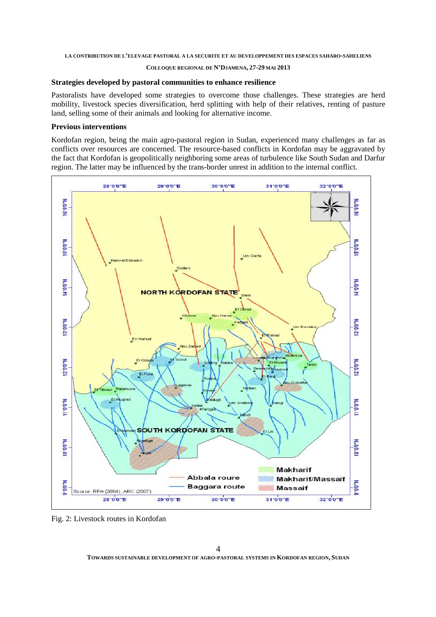#### **COLLOQUE REGIONAL DE N'DJAMENA, 27-29 MAI 2013**

### **Strategies developed by pastoral communities to enhance resilience**

Pastoralists have developed some strategies to overcome those challenges. These strategies are herd mobility, livestock species diversification, herd splitting with help of their relatives, renting of pasture land, selling some of their animals and looking for alternative income.

### **Previous interventions**

Kordofan region, being the main agro-pastoral region in Sudan, experienced many challenges as far as conflicts over resources are concerned. The resource-based conflicts in Kordofan may be aggravated by the fact that Kordofan is geopolitically neighboring some areas of turbulence like South Sudan and Darfur region. The latter may be influenced by the trans-border unrest in addition to the internal conflict.



Fig. 2: Livestock routes in Kordofan

**TOWARDS SUSTAINABLE DEVELOPMENT OF AGRO-PASTORAL SYSTEMS IN KORDOFAN REGION, SUDAN**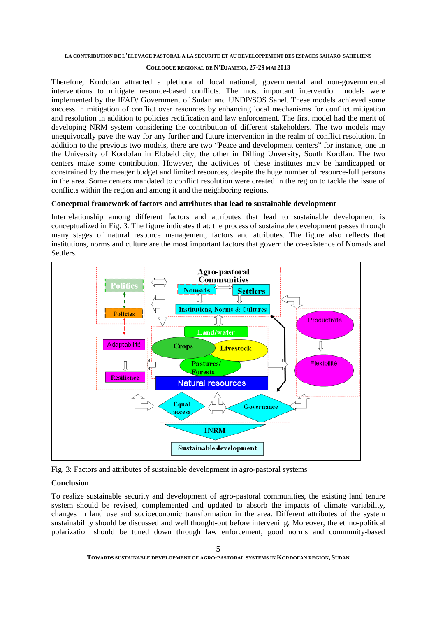#### **COLLOQUE REGIONAL DE N'DJAMENA, 27-29 MAI 2013**

Therefore, Kordofan attracted a plethora of local national, governmental and non-governmental interventions to mitigate resource-based conflicts. The most important intervention models were implemented by the IFAD/ Government of Sudan and UNDP/SOS Sahel. These models achieved some success in mitigation of conflict over resources by enhancing local mechanisms for conflict mitigation and resolution in addition to policies rectification and law enforcement. The first model had the merit of developing NRM system considering the contribution of different stakeholders. The two models may unequivocally pave the way for any further and future intervention in the realm of conflict resolution. In addition to the previous two models, there are two "Peace and development centers" for instance, one in the University of Kordofan in Elobeid city, the other in Dilling Unversity, South Kordfan. The two centers make some contribution. However, the activities of these institutes may be handicapped or constrained by the meager budget and limited resources, despite the huge number of resource-full persons in the area. Some centers mandated to conflict resolution were created in the region to tackle the issue of conflicts within the region and among it and the neighboring regions.

# **Conceptual framework of factors and attributes that lead to sustainable development**

Interrelationship among different factors and attributes that lead to sustainable development is conceptualized in Fig. 3. The figure indicates that: the process of sustainable development passes through many stages of natural resource management, factors and attributes. The figure also reflects that institutions, norms and culture are the most important factors that govern the co-existence of Nomads and Settlers.



Fig. 3: Factors and attributes of sustainable development in agro-pastoral systems

# **Conclusion**

To realize sustainable security and development of agro-pastoral communities, the existing land tenure system should be revised, complemented and updated to absorb the impacts of climate variability, changes in land use and socioeconomic transformation in the area. Different attributes of the system sustainability should be discussed and well thought-out before intervening. Moreover, the ethno-political polarization should be tuned down through law enforcement, good norms and community-based